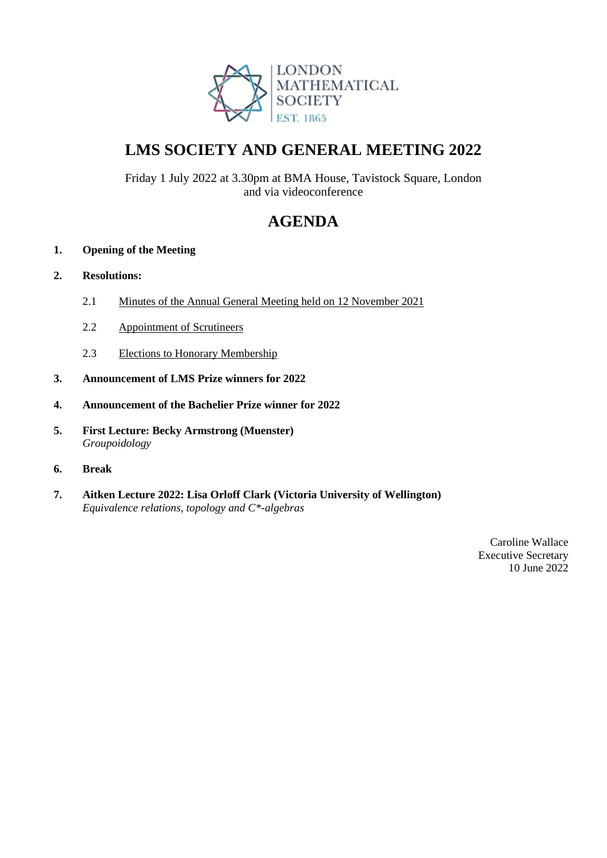

# **LMS SOCIETY AND GENERAL MEETING 2022**

Friday 1 July 2022 at 3.30pm at BMA House, Tavistock Square, London and via videoconference

# **AGENDA**

# **1. Opening of the Meeting**

# **2. Resolutions:**

- 2.1 Minutes of the Annual General Meeting held on 12 November 2021
- 2.2 Appointment of Scrutineers
- 2.3 Elections to Honorary Membership
- **3. Announcement of LMS Prize winners for 2022**
- **4. Announcement of the Bachelier Prize winner for 2022**
- **5. First Lecture: Becky Armstrong (Muenster)** *Groupoidology*
- **6. Break**
- **7. Aitken Lecture 2022: Lisa Orloff Clark (Victoria University of Wellington)** *Equivalence relations, topology and C\*-algebras*

Caroline Wallace Executive Secretary 10 June 2022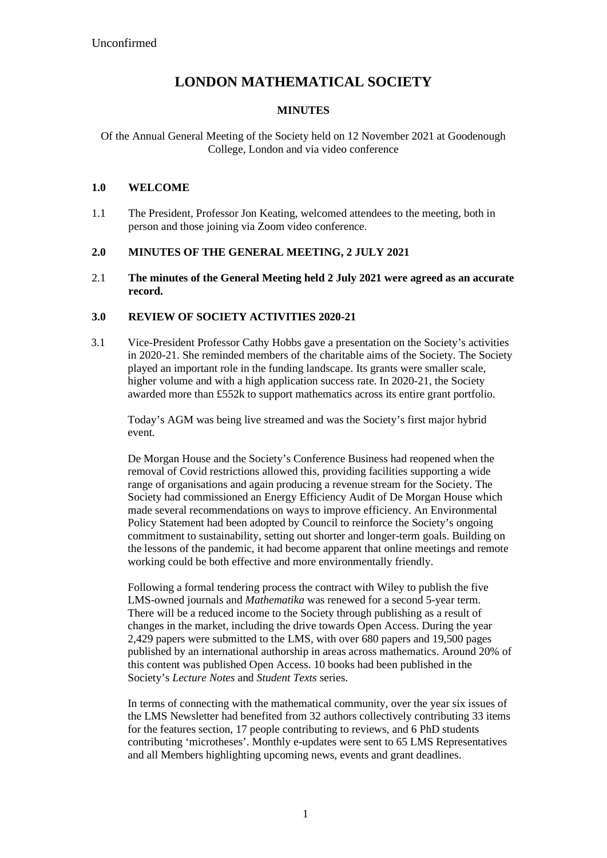# **LONDON MATHEMATICAL SOCIETY**

#### **MINUTES**

Of the Annual General Meeting of the Society held on 12 November 2021 at Goodenough College, London and via video conference

#### **1.0 WELCOME**

1.1 The President, Professor Jon Keating, welcomed attendees to the meeting, both in person and those joining via Zoom video conference.

#### **2.0 MINUTES OF THE GENERAL MEETING, 2 JULY 2021**

2.1 **The minutes of the General Meeting held 2 July 2021 were agreed as an accurate record.**

#### **3.0 REVIEW OF SOCIETY ACTIVITIES 2020-21**

3.1 Vice-President Professor Cathy Hobbs gave a presentation on the Society's activities in 2020-21. She reminded members of the charitable aims of the Society. The Society played an important role in the funding landscape. Its grants were smaller scale, higher volume and with a high application success rate. In 2020-21, the Society awarded more than £552k to support mathematics across its entire grant portfolio.

Today's AGM was being live streamed and was the Society's first major hybrid event.

De Morgan House and the Society's Conference Business had reopened when the removal of Covid restrictions allowed this, providing facilities supporting a wide range of organisations and again producing a revenue stream for the Society. The Society had commissioned an Energy Efficiency Audit of De Morgan House which made several recommendations on ways to improve efficiency. An Environmental Policy Statement had been adopted by Council to reinforce the Society's ongoing commitment to sustainability, setting out shorter and longer-term goals. Building on the lessons of the pandemic, it had become apparent that online meetings and remote working could be both effective and more environmentally friendly.

Following a formal tendering process the contract with Wiley to publish the five LMS-owned journals and *Mathematika* was renewed for a second 5-year term. There will be a reduced income to the Society through publishing as a result of changes in the market, including the drive towards Open Access. During the year 2,429 papers were submitted to the LMS, with over 680 papers and 19,500 pages published by an international authorship in areas across mathematics. Around 20% of this content was published Open Access. 10 books had been published in the Society's *Lecture Notes* and *Student Texts* series.

In terms of connecting with the mathematical community, over the year six issues of the LMS Newsletter had benefited from 32 authors collectively contributing 33 items for the features section, 17 people contributing to reviews, and 6 PhD students contributing 'microtheses'. Monthly e-updates were sent to 65 LMS Representatives and all Members highlighting upcoming news, events and grant deadlines.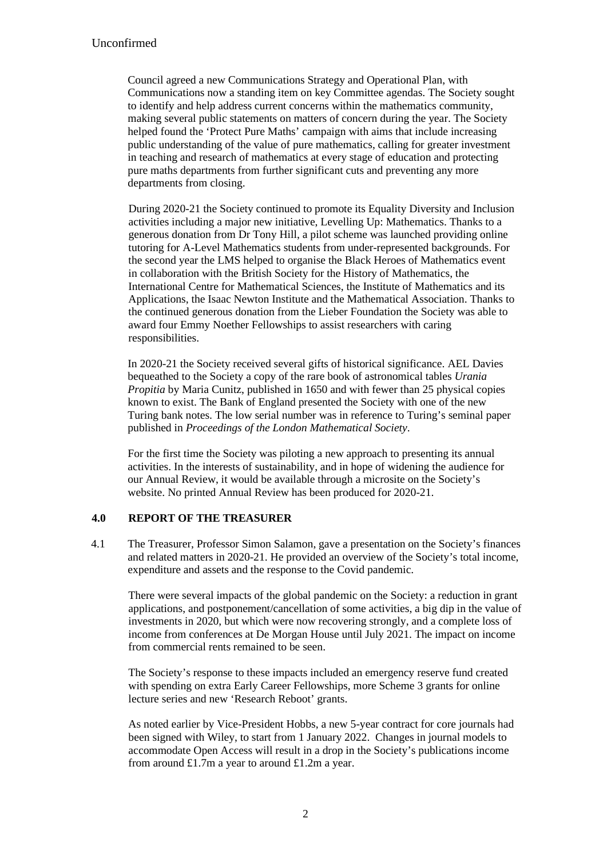Council agreed a new Communications Strategy and Operational Plan, with Communications now a standing item on key Committee agendas. The Society sought to identify and help address current concerns within the mathematics community, making several public statements on matters of concern during the year. The Society helped found the 'Protect Pure Maths' campaign with aims that include increasing public understanding of the value of pure mathematics, calling for greater investment in teaching and research of mathematics at every stage of education and protecting pure maths departments from further significant cuts and preventing any more departments from closing.

During 2020-21 the Society continued to promote its Equality Diversity and Inclusion activities including a major new initiative, Levelling Up: Mathematics. Thanks to a generous donation from Dr Tony Hill, a pilot scheme was launched providing online tutoring for A-Level Mathematics students from under-represented backgrounds. For the second year the LMS helped to organise the Black Heroes of Mathematics event in collaboration with the British Society for the History of Mathematics, the International Centre for Mathematical Sciences, the Institute of Mathematics and its Applications, the Isaac Newton Institute and the Mathematical Association. Thanks to the continued generous donation from the Lieber Foundation the Society was able to award four Emmy Noether Fellowships to assist researchers with caring responsibilities.

In 2020-21 the Society received several gifts of historical significance. AEL Davies bequeathed to the Society a copy of the rare book of astronomical tables *Urania Propitia* by Maria Cunitz, published in 1650 and with fewer than 25 physical copies known to exist. The Bank of England presented the Society with one of the new Turing bank notes. The low serial number was in reference to Turing's seminal paper published in *Proceedings of the London Mathematical Society*.

For the first time the Society was piloting a new approach to presenting its annual activities. In the interests of sustainability, and in hope of widening the audience for our Annual Review, it would be available through a microsite on the Society's website. No printed Annual Review has been produced for 2020-21.

#### **4.0 REPORT OF THE TREASURER**

4.1 The Treasurer, Professor Simon Salamon, gave a presentation on the Society's finances and related matters in 2020-21. He provided an overview of the Society's total income, expenditure and assets and the response to the Covid pandemic.

There were several impacts of the global pandemic on the Society: a reduction in grant applications, and postponement/cancellation of some activities, a big dip in the value of investments in 2020, but which were now recovering strongly, and a complete loss of income from conferences at De Morgan House until July 2021. The impact on income from commercial rents remained to be seen.

The Society's response to these impacts included an emergency reserve fund created with spending on extra Early Career Fellowships, more Scheme 3 grants for online lecture series and new 'Research Reboot' grants.

As noted earlier by Vice-President Hobbs, a new 5-year contract for core journals had been signed with Wiley, to start from 1 January 2022. Changes in journal models to accommodate Open Access will result in a drop in the Society's publications income from around £1.7m a year to around £1.2m a year.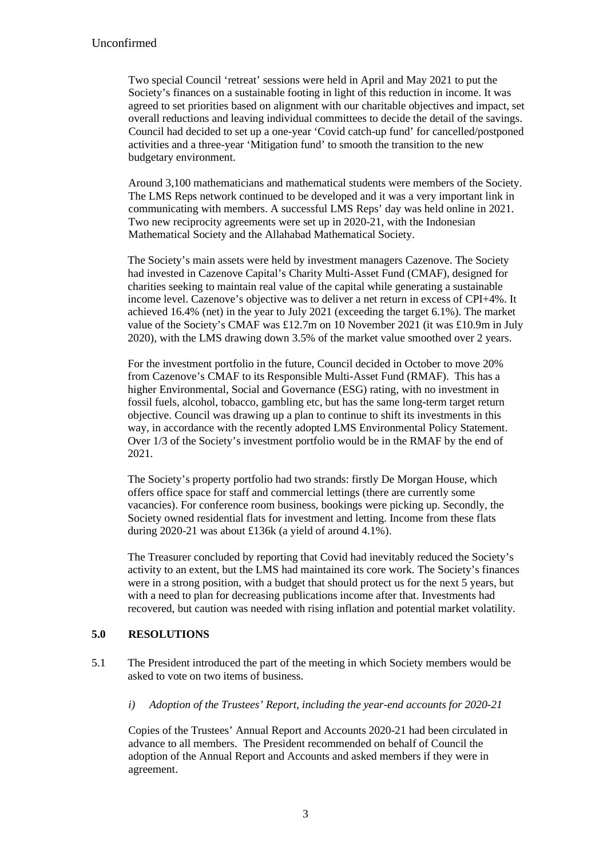Two special Council 'retreat' sessions were held in April and May 2021 to put the Society's finances on a sustainable footing in light of this reduction in income. It was agreed to set priorities based on alignment with our charitable objectives and impact, set overall reductions and leaving individual committees to decide the detail of the savings. Council had decided to set up a one-year 'Covid catch-up fund' for cancelled/postponed activities and a three-year 'Mitigation fund' to smooth the transition to the new budgetary environment.

Around 3,100 mathematicians and mathematical students were members of the Society. The LMS Reps network continued to be developed and it was a very important link in communicating with members. A successful LMS Reps' day was held online in 2021. Two new reciprocity agreements were set up in 2020-21, with the Indonesian Mathematical Society and the Allahabad Mathematical Society.

The Society's main assets were held by investment managers Cazenove. The Society had invested in Cazenove Capital's Charity Multi-Asset Fund (CMAF), designed for charities seeking to maintain real value of the capital while generating a sustainable income level. Cazenove's objective was to deliver a net return in excess of CPI+4%. It achieved 16.4% (net) in the year to July 2021 (exceeding the target 6.1%). The market value of the Society's CMAF was £12.7m on 10 November 2021 (it was £10.9m in July 2020), with the LMS drawing down 3.5% of the market value smoothed over 2 years.

For the investment portfolio in the future, Council decided in October to move 20% from Cazenove's CMAF to its Responsible Multi-Asset Fund (RMAF). This has a higher Environmental, Social and Governance (ESG) rating, with no investment in fossil fuels, alcohol, tobacco, gambling etc, but has the same long-term target return objective. Council was drawing up a plan to continue to shift its investments in this way, in accordance with the recently adopted LMS Environmental Policy Statement. Over 1/3 of the Society's investment portfolio would be in the RMAF by the end of 2021.

The Society's property portfolio had two strands: firstly De Morgan House, which offers office space for staff and commercial lettings (there are currently some vacancies). For conference room business, bookings were picking up. Secondly, the Society owned residential flats for investment and letting. Income from these flats during 2020-21 was about £136k (a yield of around 4.1%).

The Treasurer concluded by reporting that Covid had inevitably reduced the Society's activity to an extent, but the LMS had maintained its core work. The Society's finances were in a strong position, with a budget that should protect us for the next 5 years, but with a need to plan for decreasing publications income after that. Investments had recovered, but caution was needed with rising inflation and potential market volatility.

## **5.0 RESOLUTIONS**

5.1 The President introduced the part of the meeting in which Society members would be asked to vote on two items of business.

*i) Adoption of the Trustees' Report, including the year-end accounts for 2020-21*

Copies of the Trustees' Annual Report and Accounts 2020-21 had been circulated in advance to all members. The President recommended on behalf of Council the adoption of the Annual Report and Accounts and asked members if they were in agreement.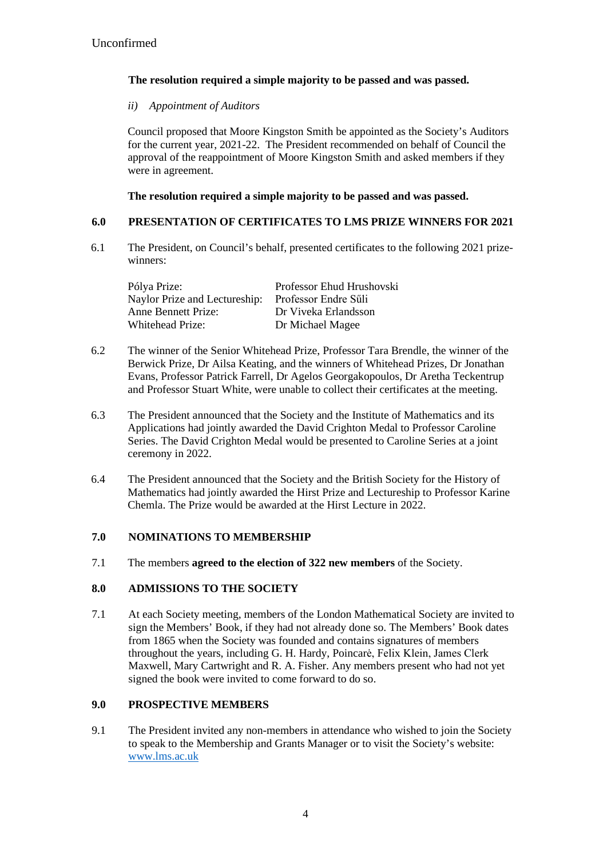# **The resolution required a simple majority to be passed and was passed.**

*ii) Appointment of Auditors* 

Council proposed that Moore Kingston Smith be appointed as the Society's Auditors for the current year, 2021-22. The President recommended on behalf of Council the approval of the reappointment of Moore Kingston Smith and asked members if they were in agreement.

**The resolution required a simple majority to be passed and was passed.**

## **6.0 PRESENTATION OF CERTIFICATES TO LMS PRIZE WINNERS FOR 2021**

6.1 The President, on Council's behalf, presented certificates to the following 2021 prizewinners:

| Pólya Prize:                  | Professor Ehud Hrushovski |
|-------------------------------|---------------------------|
| Naylor Prize and Lectureship: | Professor Endre Süli      |
| <b>Anne Bennett Prize:</b>    | Dr Viveka Erlandsson      |
| Whitehead Prize:              | Dr Michael Magee          |

- 6.2 The winner of the Senior Whitehead Prize, Professor Tara Brendle, the winner of the Berwick Prize, Dr Ailsa Keating, and the winners of Whitehead Prizes, Dr Jonathan Evans, Professor Patrick Farrell, Dr Agelos Georgakopoulos, Dr Aretha Teckentrup and Professor Stuart White, were unable to collect their certificates at the meeting.
- 6.3 The President announced that the Society and the Institute of Mathematics and its Applications had jointly awarded the David Crighton Medal to Professor Caroline Series. The David Crighton Medal would be presented to Caroline Series at a joint ceremony in 2022.
- 6.4 The President announced that the Society and the British Society for the History of Mathematics had jointly awarded the Hirst Prize and Lectureship to Professor Karine Chemla. The Prize would be awarded at the Hirst Lecture in 2022.

## **7.0 NOMINATIONS TO MEMBERSHIP**

7.1 The members **agreed to the election of 322 new members** of the Society.

#### **8.0 ADMISSIONS TO THE SOCIETY**

7.1 At each Society meeting, members of the London Mathematical Society are invited to sign the Members' Book, if they had not already done so. The Members' Book dates from 1865 when the Society was founded and contains signatures of members throughout the years, including G. H. Hardy, Poincarė, Felix Klein, James Clerk Maxwell, Mary Cartwright and R. A. Fisher. Any members present who had not yet signed the book were invited to come forward to do so.

#### **9.0 PROSPECTIVE MEMBERS**

9.1 The President invited any non-members in attendance who wished to join the Society to speak to the Membership and Grants Manager or to visit the Society's website: www.lms.ac.uk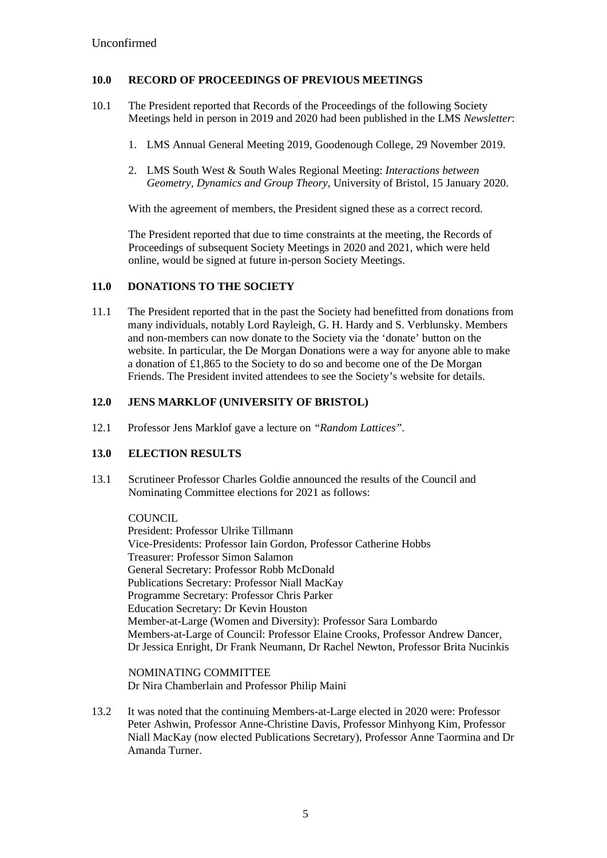### **10.0 RECORD OF PROCEEDINGS OF PREVIOUS MEETINGS**

- 10.1 The President reported that Records of the Proceedings of the following Society Meetings held in person in 2019 and 2020 had been published in the LMS *Newsletter*:
	- 1. LMS Annual General Meeting 2019, Goodenough College, 29 November 2019.
	- 2. LMS South West & South Wales Regional Meeting: *Interactions between Geometry, Dynamics and Group Theory*, University of Bristol, 15 January 2020.

With the agreement of members, the President signed these as a correct record.

The President reported that due to time constraints at the meeting, the Records of Proceedings of subsequent Society Meetings in 2020 and 2021, which were held online, would be signed at future in-person Society Meetings.

#### **11.0 DONATIONS TO THE SOCIETY**

11.1 The President reported that in the past the Society had benefitted from donations from many individuals, notably Lord Rayleigh, G. H. Hardy and S. Verblunsky. Members and non-members can now donate to the Society via the 'donate' button on the website. In particular, the De Morgan Donations were a way for anyone able to make a donation of £1,865 to the Society to do so and become one of the De Morgan Friends. The President invited attendees to see the Society's website for details.

#### **12.0 JENS MARKLOF (UNIVERSITY OF BRISTOL)**

12.1 Professor Jens Marklof gave a lecture on *"Random Lattices".*

## **13.0 ELECTION RESULTS**

13.1 Scrutineer Professor Charles Goldie announced the results of the Council and Nominating Committee elections for 2021 as follows:

**COUNCIL** 

President: Professor Ulrike Tillmann Vice-Presidents: Professor Iain Gordon, Professor Catherine Hobbs Treasurer: Professor Simon Salamon General Secretary: Professor Robb McDonald Publications Secretary: Professor Niall MacKay Programme Secretary: Professor Chris Parker Education Secretary: Dr Kevin Houston Member-at-Large (Women and Diversity): Professor Sara Lombardo Members-at-Large of Council: Professor Elaine Crooks, Professor Andrew Dancer, Dr Jessica Enright, Dr Frank Neumann, Dr Rachel Newton, Professor Brita Nucinkis

NOMINATING COMMITTEE Dr Nira Chamberlain and Professor Philip Maini

13.2 It was noted that the continuing Members-at-Large elected in 2020 were: Professor Peter Ashwin, Professor Anne-Christine Davis, Professor Minhyong Kim, Professor Niall MacKay (now elected Publications Secretary), Professor Anne Taormina and Dr Amanda Turner.